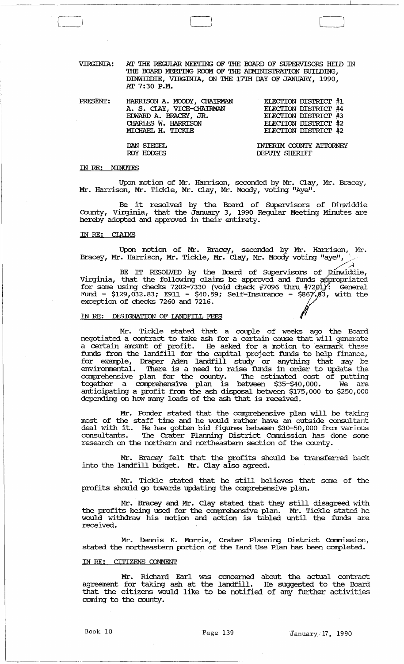VIRGINIA: AT THE REGUIAR MEETING OF THE BOARD OF SUPERVISORS HEID IN THE BOARD MEETING ROOM OF THE ADMINISTRATION BUILDING, DINWIDDIE, VIRGINIA, ON THE 17TH DAY OF JANUARY, 1990, AT 7:30 P.M.

| HARRISON A. MOODY, CHAIRMAN |  |                                                                                                                             |
|-----------------------------|--|-----------------------------------------------------------------------------------------------------------------------------|
| A. S. CIAY, VICE-CHAIRMAN   |  |                                                                                                                             |
| EDWARD A. BRACEY, JR.       |  |                                                                                                                             |
| CHARLES W. HARRISON         |  |                                                                                                                             |
| MICHAEL H. TICKLE           |  |                                                                                                                             |
|                             |  | <b>ELECTION DISTRICT #1</b><br>ELECTION DISTRICT #4<br>ELECTION DISTRICT #3<br>ELECTION DISTRICT #2<br>ELECTION DISTRICT #2 |

INTERIM COUNTY ATTORNEY DEPUIY SHERIFF

#### IN RE: MINUTES

Upon motion of Mr. Harrison, seconded by Mr. Clay, Mr. Bracey, Mr. Harrison, Mr. Tickle, Mr. Clay, Mr. Moody, voting "Aye".

Be it resolved by the Board of SUpervisors of Dinwiddie County, Virginia, that the January 3, 1990 Regular Meeting Minutes are hereby adopted and approved in their entirety.

## IN RE: CIA1MS

Upon motion of Mr. Bracey, seconded by Mr. Harrison, Mr. Bracey, Mr. Harrison, Mr. Tickle, Mr. Clay, Mr. Moody voting "aye",

BE IT RESOLVED by the Board of Supervisors of Dinwiddie,<br>Virginia, that the following claims be approved and funds appropriated for same using checks 7202-7330 (void check #7096 thru #7201): General Fund - \$129,032.83; E911 - \$40.59; Self-Insurance - \$867,83, with the exception of checks 7260 and 7216.

#### IN RE: DESIGNATION OF IANDFILL FEES

DAN SIEGEL ROY HODGES

Mr. Tickle stated that a couple of weeks ago the Board negotiated a contract to take ash for a certain cause that will generate a certain amount of profit. He asked for a motion to earmark these funds from the landfill for the capital project funds to help finance, for example, Draper Aden landfill study or anything that may be environmental. There is a need to raise funds in order to update the comprehensive plan for the county. '!he estimated cost of putting together a comprehensive plan is between \$35-\$40,000. We are anticipating a profit from the ash disposal between \$175,000 to \$250,000 depending on how many loads of the ash that is received.

Mr. Ponder stated that the comprehensive plan will be taking most of the staff time and he would rather have an outside consultant deal with it. He has gotten bid figures between \$30-50,000 from various consultants. The Crater Planning District Conunission has done some research on the northern and northeastern section of the county.

Mr. Bracey felt that the profits should be transferred back into the landfill budget. Mr. Clay also agreed.

Mr. Tickle stated that he still believes that some of the profits should go towards updating the comprehensive plan.

Mr. Bracey and Mr. Clay stated that they still disagreed with the profits being used for the comprehensive plan. Mr. Tickle stated he are profits being used for the comprehensive plan. In: floate stated in received.

Mr. Dennis K. Morris, Crater Planning District Commission, stated the northeastern portion of the Land Use Plan has been completed.

#### IN RE: CITIZENS COMMENT

Mr. Richard Earl was concerned about the actual contract agreement for taking ash at the landfill. He suggested to the Board that the citizens would like to be notified of any further activities coming to the county.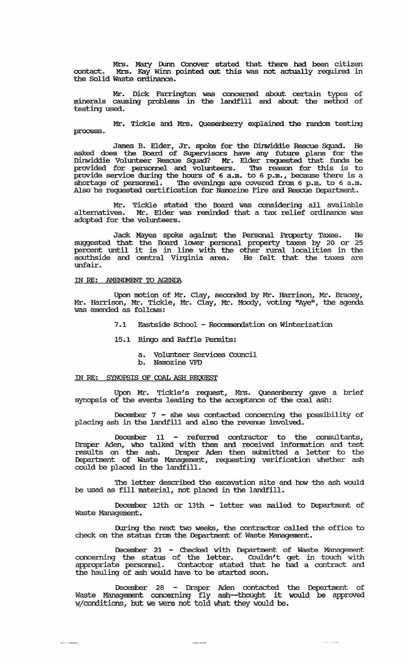Mrs. Mary Dunn Conover stated that there had been citizen contact. Mrs. Kay winn pointed out this was not actually required in the Solid Waste ordinance.

Mr. Dick Farrington was concerned about certain types of minerals causing problems in the landfill and about the method of testing used.

Mr. Tickle and Mrs. Quesenberry explained the random testing process.

James B. Elder, Jr. spoke for the Dinwiddie Rescue Squad. He asked does the Board of SUpervisors have any future plans for the Dinwiddie Volunteer Rescue Squad? Mr. Elder requested that funds be provided for personnel and volunteers. '!he reason for this is to provide service during the hours of 6 a.m. to 6 p.m., because there is a shortage of personnel. The evenings are covered from 6 p.m. to 6 a.m. Also he requested certification for Namozine Fire and Rescue Department.

Mr. Tickle stated the Board was considering all available alternatives. Mr. Elder was reminded that a tax relief ordinance was alternatives. Mr. Elder v<br>adopted for the volunteers.

Jack Mayes spoke against the Personal Property Taxes. He suggested that the Board lower personal property taxes by 20 or 25 percent until it is in line with the other rural localities in the southside and central Virginia area. He felt that the taxes are unfair.

### IN RE: AMENDMENT TO AGENDA

Upon motion of Mr. Clay, seconded by Mr. Harrison, Mr. Bracey, Mr. Harrison, Mr. Tickle, Mr. Clay, Mr. Moody, voting "Aye" *e* the agenda was amended as follows:

- 7.1 Eastside School Recommendation on Winterization
- 15.1 Bingo and Raffle Pennits:
	- a. Volunteer services Council
	- b. Namozine VFD

### IN RE: SYNOPSIS OF COAL ASH REQUEST

 $\omega$  is a summary .

Upon Mr. Tickle's request, Mrs. Quesenberry gave a brief synopsis of the events leading to the acceptance of the coal ash:

December 7 - she was contacted concerning the possibility of placing ash in the landfill and also the revenue involved.

December 11 - referred contractor to the consultants, Draper Aden, who talked with them and received infonnation and test results on the ash. Draper Aden then submitted a letter to the Department of Waste Management, requesting verification whether ash could be placed in the landfill.

The letter described the excavation site and how the ash would be used as fill material, not placed in the landfill.

December 12th or 13th - letter was mailed to Department of Waste Management.

During the next two weeks, the contractor called the office to check on the status from the Department of Waste Management.

December 21 - Checked with Department of Waste Management concerning the status of the letter. Couldn't get in touch with appropriate personnel. Contactor stated that he had a contract and the hauling of ash would have to be started soon.

December 28 - Draper Aden contacted the Department of Waste Management concerning fly ash--thought it would be approved wjconditions, but we Were not told what they would be.

 $\frac{1}{2}$ 

 $\frac{1}{2} \left( \frac{1}{2} \right) \left( \frac{1}{2} \right) \left( \frac{1}{2} \right) \left( \frac{1}{2} \right) \left( \frac{1}{2} \right) \left( \frac{1}{2} \right) \left( \frac{1}{2} \right) \left( \frac{1}{2} \right) \left( \frac{1}{2} \right) \left( \frac{1}{2} \right) \left( \frac{1}{2} \right) \left( \frac{1}{2} \right) \left( \frac{1}{2} \right) \left( \frac{1}{2} \right) \left( \frac{1}{2} \right) \left( \frac{1}{2} \right) \left( \frac$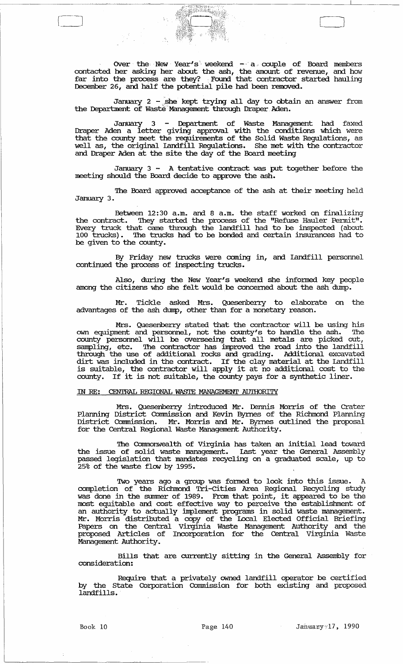Over the New Year's weekend - a couple of Board members contacted her asking her about the ash, the amount of revenue, and how far into the process are they? Found that contractor started hauling December 26, and half the potential pile had been removed.

January 2 - she kept trying all day to obtain an answer from the Department of Waste<sup>:</sup>Management through Draper Aden.

January 3 - Department of Waste Management had faxed Draper Aden a letter giving approval with the conditions which were that the county meet the requirements of the Solid Waste Regulations, as well as, the original landfill Regulations. She met with the contractor and Draper Aden at the site the day of the Board meeting

January 3 - A tentative contract was put together before the meeting should the Board decide to approve the ash.

The Board approved acceptance of the ash at their meeting held January 3.

Between 12:30 a.m. and 8 a.m. the staff worked on finalizing the contract. They started the process of the "Refuse Hauler Permit". Every truck that came through the landfill had to be inspected (about 100 trucks). 'Ibe trucks had to be bonded and certain insurances had to be given to the county.

By Friday new trucks were coming in, and landfill personnel continued the process of inspecting trucks.

Also, during the New Year's weekend she infonned key people among the citizens who she felt would be concerned about the ash dump.

Mr. Tickle asked Mrs. Quesenberry to elaborate on the advantages of the ash dump, other than for a monetary reason.

Mrs. Quesenberry stated that the contractor will be using his own equipment and personnel, not the county's to handle the ash. The county personnel will be overseeing that all metals are picked out, sampling, etc. The contractor has improved the road into the landfill through the use of additional rocks and grading. Additional excavated dirt was included in the contract. If the clay material at the Landfill is suitable, the contractor will apply it at no additional cost to the county. If it is not suitable, the county pays for a synthetic liner.

### IN *RE:* CENTRAL REGIONAL WASTE MANAGEMENT AU'IHORITY

Mrs. Quesenberry introduced Mr. Dennis Morris of the Crater Planning District Commission and Kevin Byrnes of the Richmond Planning<br>District Commission. Mr. Morris and Mr. Byrnes outlined the proposal Mr. Morris and Mr. Byrnes outlined the proposal for the Central Regional Waste Management Authority.

The Commonwealth of Virginia has taken an initial lead toward the issue of solid waste management. Last year the General Assembly passed legislation that mandates recycling on a graduated scale, up to 25% of the waste flow by 1995.

Two years ago a group was fonned to look into this issue. A completion of the Richmond Tri -cities Area Regional Recycling study was done in the summer of 1989. From that point, it appeared to be the most equitable and cost effective way to perceive the establishment of an authority to actually implement programs in solid waste management. Mr. Morris distributed a copy of the Local Elected Official Briefing Papers on the Central Virginia Waste Management Authority and the proposed Articles of Incorporation for the Central Virginia Waste Management Authority.

Bills that are currently sitting in the General Assembly for consideration:

Require that a privately owned landfiil operator be certified by the State Corporation Commission for both existing and proposed landfills.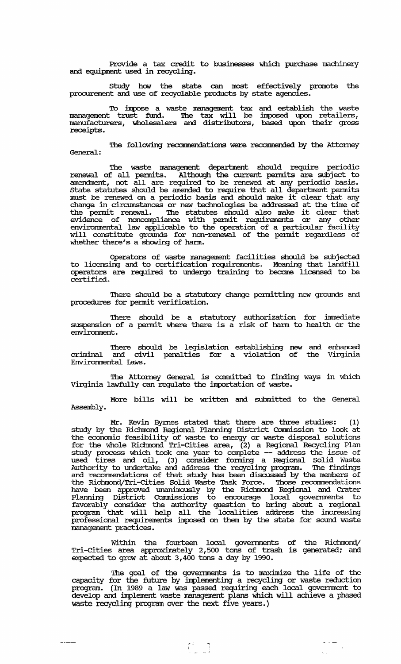Provide a tax credit to businesses which purchase machinery and equipment used in recycling.

study how the state can most effectively promote the procurement and use of recyclable products by state agencies.

To impose a waste management tax and establish the waste management trust fund. The tax will be imposed upon retailers, manufacturers, wholesalers and distributors, based upon their gross receipts.

The following recommendations were recommended by the Attorney General:

The waste management department should require periodic renewal of all pennits. Although the current pennits are subject to amendment, not all are required to be renewed at any periodic basis. state statutes should be amended to require that all department permits must be renewed on a periodic basis and should make it clear that any change in circumstances or new technologies be addressed at the time of the pennit renewal. '!he statutes should also make it clear that evidence of noncompliance with pennit requirements or any other environmental law applicable to the operation of a particular facility will constitute grounds for non-renewal of the pennit regardless of whether there's a showing of harm.

Operators of waste management facilities should be subjected to licensing and to certification requirements. Meaning that landfill operators are required to undergo training to become licensed to be certified.

There should be a statutory change permitting new grounds and procedures for permit verification.

There should be a statutory authorization for immediate suspension of a permit where there is a risk of harm to health or the envirornnent.

'!here should be legislation establishing new and enhanced criminal and civil penalties for a violation of the Virginia Envirornnental laws.

The Attorney General is committed to finding ways in which Virginia lawfully can regulate the importation of waste.

More bills will be written and submitted to the General Assembly.

Mr. Kevin Byrnes stated that there are three studies: (1) study by the Richmond Regional Planning District Connnission to look at the economic feasibility of waste to energy or waste disposal solutions for the whole Richmond Tri-cities area, (2) a Regional Recycling Plan study process which took one year to complete -- address the issue of used tires and oil, (3) consider fonning a Regional Solid Waste Authority to undertake and address the recycling program. The findings and recommendations of that study has been discussed by the members of the Richmond/Tri-Cities Solid Waste Task Force. Those recommendations have been approved tmanimously by the Richmond Regional and Crater Planning District Connnissions to encourage local goverrnnents to favorably consider the authority question to bring about a regional program that will help all the localities address the increasing professional requirements imposed on them by the state for sound waste management practices.

Within the fourteen local governments of the Richmond/ Tri-cities area approxilnately 2,500 tons of trash is generated; and expected to grow at about 3,400 tons a day by 1990.

The goal of the governments is to maximize the life of the capacity for the future by implementing a recycling or waste reduction program. (In 1989 a law was passed requiring each local goverrnnent to develop and implement waste management plans which will achieve a phased waste recycling program over the next five years.)

للداء

~--, I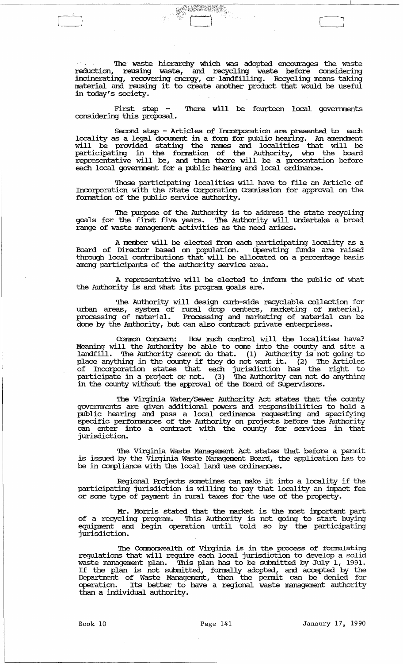The waste hierarchy which was adopted encourages the waste reduction, reusing waste, and recycling waste before considering incinerating, recovering energy, or landfilling. Recycling means taking material and reusing it to create another product that would be useful in today's society.

, and the contract of  $\Box$ 

First step - There will be fourteen local governments considering this proposal.

Second step - Articles of Incorporation are presented to each locality as a legal docmnent in a fonn for public hearing. An amendment will be provided stating the names and localities that will be participating in the fonnation of the Authority, who the board representative will be, and then there will be a presentation before each local government for a public hearing and local ordinance.

'!hose participating localities will have to file an Article of Incorporation with the state Corporation Connnission for approval on the formation of the public service authority.

The purpose of the Authority is to address the state recycling goals for the first five years. '!he Authority will undertake a broad range of waste management activities as the need arises.

A member will be elected from each participating locality as a Board of Director based on population. Operating funds are raised through local contributions that will be allocated on a percentage basis among participants of the authority service area.

A representative will be elected to inform the public of what the Authority is and what its program goals are.

The Authority will design curb-side recyclable collection for urban areas, system of rural drop centers, marketing of material, processing of material. Processing and marketing of material can be done by the Authority, but can also contract private enterprises.

Common Concern: How much control will the localities have? Meaning will the Authority be able to come into the county and site a landfill. The Authority cannot do that. (1) Authority is not going to place anything in the county if they do not want it. (2) The Articles of Incorporation states that each jurisdiction has the right to participate in a project or not. (3) The Authority can not do anything in the county without the approval of the Board of SUpervisors.

'!he Virginia Water/Sewer Authority Act states that the county governments are given additional powers and responsibilities to hold a public hearing and pass a local ordinance requesting and specifying specific perfonnances of the Authority on projects before the Authority can enter into a contract with the county for services in that jurisdiction.

'!he Virginia Waste Management Act states that before a pennit is issued by the Virginia Waste Management Board, the application has to be in compliance with the local land use ordinances.

Regional Projects sometimes can make it into a locality if the participating jurisdiction is willing to pay that locality an impact fee or some type of payment in rural taxes for the use of the property.

Mr. Morris stated. that the market is the most important part of a recycling program. This Authority is not going to start buying equipment and begin operation until told so by the participating jurisdiction.

The Commonwealth of Virginia is in the process of fonnulating regulations that will require each local jurisdiction to develop a solid waste management plan. '!his plan has to be submitted by July 1, 1991. wasce management pian. This plan has to be submitted by oury 1, 1991.<br>If the plan is not submitted, formally adopted, and accepted by the Department of Waste Management, then the pennit can be denied for operation. Its better to have a regional waste management authority than a individual authority.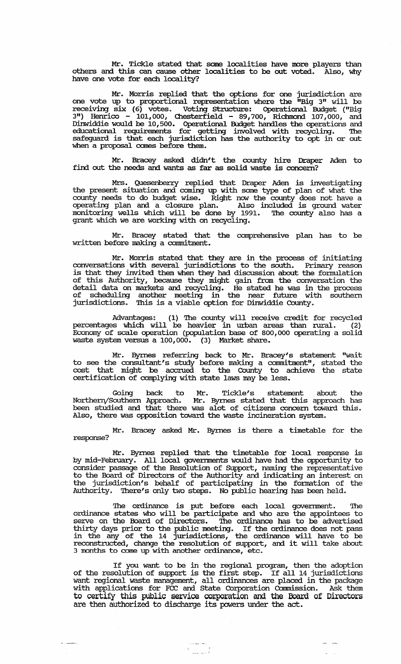Mr. Tickle stated that same localities have more players than others and this can cause other localities to be out voted. Also, why have one vote for each locality?

Mr. Morris replied that the options for one jurisdiction are one vote up to proportional representation where the "Big 3" will be receiving six (6) votes. Voting Structure: Operational Budget ("Big 3") Henrico - 101,000, Chesterfield - 89,700, Richmond 107,000, and Dinwiddie would be 10,500. Operational BUdget handles the operations and educational requirements for getting involved with recycling. '!he safeguard is that each jurisdiction has the authority to opt in or out when a proposal comes before them.

Mr. Bracey asked didn't the county hire Draper Aden to find out the needs and wants as far as solid waste is concern?

Mrs. Quesenberry replied that Draper Aden is investigating the present situation and coming up with same type of plan of what the county needs to do budget wise. Right now the county does not have a operating plan and a closure plan. Also included is ground water monitoring wells which will be done by 1991. '!he county also has a grant which we are working with on recycling.

Mr. Bracey stated that the comprehensive plan has to be written before making a commitment.

Mr. Morris stated that they are in the process of initiating conversations with several jurisdictions to the south. Primary reason is that they invited them when they had discussion about the fonnulation of this Authority, because they might gain from the conversation the detail data on markets and recycling. He stated he was in the process of scheduling another meeting in the near future with southern jurisdictions. '!his is a viable option for Dinwiddie County.

Advantages: (1) The county will receive credit for recycled percentages which will be heavier in urban areas than rural. (2) Economy of scale operation (population base of 800,000 operating a solid waste system versus a 100,000. (3) Market share.

Mr. Byrnes referring back to Mr. Bracey's statement "wait to see the consultant's study before making a commitment", stated the cost that might be accrued to the County to achieve the state certification of complying with state laws may be less.

Going back to Mr. Tickle's statement about the NorthenySouthern Approach. Mr. Byrnes stated that this approach has been studied and that there was alot of citizens concern toward this. Also, there was opposition toward the waste incineration system.

Mr. Bracey asked Mr. Byrnes is there a timetable for the response?

Mr. Byrnes replied that the timetable for local response is by mid-February. All local goverrnnents would have had the opportunity to consider passage of the Resolution of SUpport, naming the representative to the Board of Directors of the Authority and indicating an interest on the jurisdiction's behalf of participating in the fonnation of the Authority. There's only two steps. No public hearing has been held.

The ordinance is put before each local government. The ordinance states who will be participate and who are the appointees to serve on the Board of Directors. The ordinance has to be advertised thirty days prior to the public meeting. If the ordinance does not pass in the any of the 14 jurisdictions, the ordinance will have to be reconstructed, change the resolution of support, and it will take about 3 months to come up with another ordinance, etc.

If you want to be in the regional program, then the adoption of the resolution of support is the first step. If all 14 jurisdictions want regional waste management, all ordinances are placed in the package with applications for FCC and state Corporation Connnission. Ask them to certify this public service corporation and the Board of Directors are then authorized to discharge its powers under the act.

المعاشية على المعاملة.<br>المن السياسية المعاشية المعاملة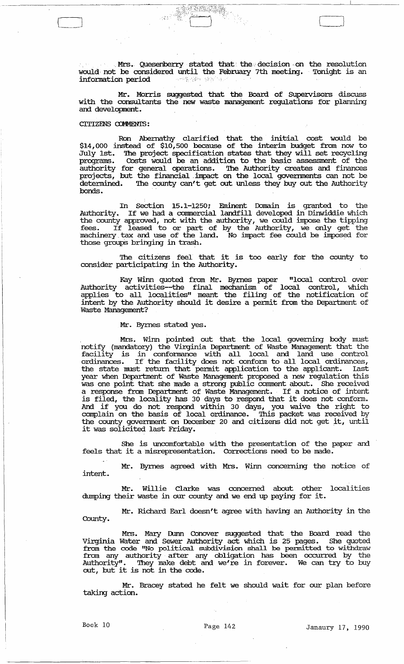Mrs. Quesenberry stated that the decision on the resolution would not be considered until the February 7th meeting. Tonight is an information period

Mr. Morris suggested that the Board of SUpervisors discuss with the consultants the new waste management regulations for planning and development.

#### CITIZENS COMMENTS:

Ron Abernathy clarified that the initial cost would be \$14,000 instead of \$10,500 because of the interim budget from now to July 1st. The project specification states that they will set recycling programs. Costs would be an addition to the basic assessment of the authority for general operations. The Authority creates and finances projects, but the financial impact on the local governments can not be detennined. The county can't get out unless they buy out the Authority bonds.

In Section 15.1-1250'; Eminent Domain is granted to the Authority. If we had a commercial landfill developed in Dinwiddie which the county approved, not with the authority, we could impose the tipping fees. If leased to or part of by the Authority, we only get the machinery tax and use of the land. No impact fee could be imposed for those groups bringing in trash.

The citizens feel that it is too early for the county to consider participating in the Authority.

Kay winn quoted from Mr. Byrnes paper "local control over Authority activities--the final mechanism of local control, which applies to all localities" meant the filing of the notification of appries to air focallies meant the filmy of the hottineation of intent by the Authority should it desire a permit from the Department of Waste Management?

#### Mr. Byrnes stated yes.

Mrs. winn pointed out that the local governing body must notify (mandatory) the virginia Department of Waste Management that the facility is in confonnance with all local and land use control ordinances. If the facility does not conform to all local ordinances, the state must return that permit application to the applicant. Last year when Department of Waste Management proposed a new regulation this was one point that she made a strong public comment about. She received a response from Department of Waste Management. If a notice of intent is filed, the locality has 30 days to respond that it does not conform. And if you do not respond. within 30 days, you waive the right to complain on the basis of local ordinance. This packet was received by the county government on December 20 and citizens did not get it, until it was solicited last Friday.

She is uncomfortable with the presentation of the paper and feels that it a misrepresentation. Corrections need to be made.

Mr. Byrnes agreed with Mrs. winn concerning the notice of intent.

Mr. Willie Clarke was concerned about other localities dumping their waste in our county and we end up paying for it.

Mr. Richard Earl doesn't agree with having an Authority in the County.

Mrs. Mary Dunn Conover suggested that the Board read the Virginia Water and Sewer Authority act which is 25 pages. She quoted from the code "No political subdivision shall be permitted to withdraw from any authority after any obligation has been occurred by the Authority" . They make debt and we're in forever. We can try to buy out, but it is not in the code.

Mr. Bracey stated he felt we should wait for our plan before taking action.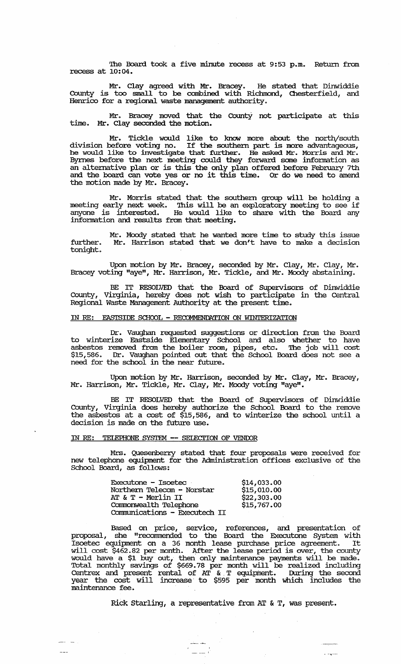The Board took a five minute recess at 9:53 p.m. Return from recess at 10:04.

Mr. Clay agreed. with Mr. Bracey. He stated that Dinwiddie County is too small to be combined with Richmond, Chesterfield, and Henrico for a regional waste management authority.

Mr. Bracey moved that the CountY not participate at this time. Mr. Clay seconded the motion.

Mr. Tickle would like to know more about the north/south division before voting no. If the southern part is more advantageous, he would like to irwestigate that further. He asked Mr. Morris and Mr. Byrnes before the next meeting could they forward some information as an alternative plan or is this the only plan offered before February 7th an alternative plan of is this the only plan offered before repruary out<br>and the board can vote yes or no it this time. Or do we need to amend the motion made by Mr. Bracey.

Mr. Morris stated that the southern group will be holding a meeting early next week. This will be an exploratory meeting to see if anyone is interested. He would like to share with the Board any information and results from that meeting.

Mr. Moody stated that he wanted more time to study this issue further. Mr. Harrison stated that we don't have to make a decision tonight.

Upon motion by Mr. Bracey, seconded by Mr. Clay, Mr. Clay, Mr. Bracey voting "aye", Mr. Harrison, Mr. Tickle, and Mr. Moody abstaining.

BE IT RESOLVED that the Board of Supervisors of Dinwiddie County, Virginia, hereby does not wish to participate in the Central Regional Waste Management Authority at the present time.

#### IN RE: EASTSIDE SCHOOL - RECOMMENDATION ON WINTERIZATION

Dr. Vaughan requested suggestions or direction from the Board to winterize Eastside Elementary School and also whether to have asbestos removed from the boiler room, pipes, etc. The job will cost \$15,586. Dr. Vaughan pointed out that the School Board does not see a need for the school in the near future.

Upon motion by Mr. Harrison, seconded by Mr. Clay, Mr. Bracey, Mr. Harrison, Mr. Tickle, Mr. Clay, Mr. Moody voting "aye".

BE IT RESOLVED that the Board of SUpervisors of Dinwiddie County, Virginia does hereby authorize the School Board to the remove the asbestos at a cost of \$15,586, and to winterize the school until a decision is made on the future use.

### IN RE: TEIEPHONE SYSTEM **--** SELECrION OF VENOOR

Mrs. Quesenberry stated that four proposals were received for new telephone equipment for the Administration offices exclusive of the School Board, as follows:

| Executone - Isoetec           | \$14,033.00 |
|-------------------------------|-------------|
| Northern Telecom - Norstar    | \$15,010.00 |
| AT & $T - Merlin$ II          | \$22,303.00 |
| Commonwealth Telephone        | \$15,767.00 |
| Communications - Executech II |             |

--'

Based on price, service, references, and presentation of proposal, she "recornmended to the Board the Executone system with Isoetec equipment on a 36 month lease purchase price agreement. It will cost \$462.82 per month. ~ the lease period is over, the county would have a \$1 buy out, then only maintenance payments will be made. Total monthly savings of \$669.78 per month will be realized including Centrex and present rental of AT &. T equipinent. Olring the second year the cost will increase' to \$595 per month which includes the maintenance fee.

Rick starling, a representative from AT & T, was present.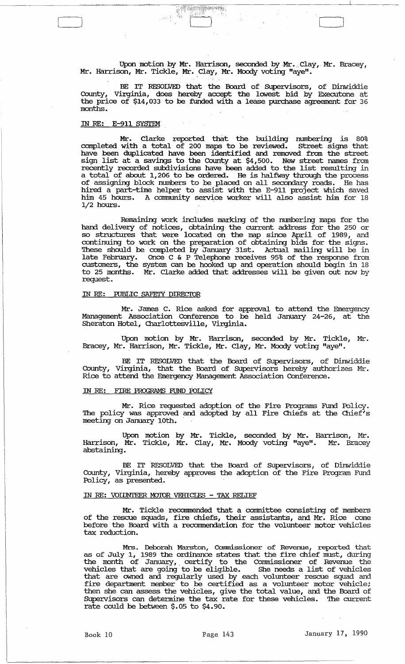Upon motion by Mr. Harrison, seconded by Mr. Clay, Mr. Bracey, Mr. Harrison, Mr. Tickle, Mr. Clay, Mr. Moody voting "aye".

 $\frac{1}{2}$  .  $\frac{1}{2}$   $\frac{1}{2}$  ,  $\frac{1}{2}$  ,  $\frac{1}{2}$  ,  $\frac{1}{2}$  ,  $\frac{1}{2}$  ,  $\frac{1}{2}$  ,  $\frac{1}{2}$  ,  $\frac{1}{2}$  ,  $\frac{1}{2}$  ,  $\frac{1}{2}$  ,  $\frac{1}{2}$  ,  $\frac{1}{2}$  ,  $\frac{1}{2}$  ,  $\frac{1}{2}$  ,  $\frac{1}{2}$  ,  $\frac{1}{2}$  ,  $\frac{1}{2$ 

BE IT RESOLVED that the Board of Supervisors, of Dinwiddie County, Virginia, does hereby accept the lowest bid by Executone at the price of \$14,033 to be funded with a lease purchase agreement for 36 months.

#### IN *RE:* E-911 SYSTEM

 $\beta \beta \beta$ 

Mr. Clarke reported that the building numbering is 80% completed with. a total of 200 maps to be reviewed. street signs that have been duplicated have been identified and. removed from the street sign list at a savings to the County at \$4,500. New street names from recently recorded subdivisions have been added to the list resulting in a total of about 1,206 to be ordered. He is halfway through the process of assigning block numbers to be placed on all secondary roads. He has hired a part-time helper to assist with the E-911 project which saved him 45 hours. A community service worker will also assist him for 18 1/2 hours. .

Remaining work includes marking of the mnnbering maps for the hand. delivery of notices, obtaining· the current address for the 250 or so structures that were located on the map since April of 1989, and continuing to work on the preparation of obtaining bids for the signs. These should be completed by January 31st. Actual mailing will be in late February. Once C & P Telephone receives 95% of the response from customers, the system can be hooked up and. operation should begin in 18 to 25 months. Mr. Clarke added that addresses will be given out now by request.

#### IN *RE:* FUBLIC SAFEI'Y DIRECIDR

Mr. James C. Rice asked for approval to attend the Emergency Management Association Conference to be held January 24-26, at the Sheraton Hotel, Charlottesville, Virginia.

Upon motion by Mr. Harrison, seconded by Mr. Tickle, Mr. Bracey, Mr. Harrison, Mr. Tickle, Mr. Clay, Mr. Moody voting "aye".

BE IT RESOLVED that the Board of Supervisors, of Dinwiddie County, Virginia, that the Board of Supervisors hereby authorizes Mr. Rice to attend. the Emergency Management Association Conference.

#### IN *RE:* FIRE PROGRAMS FUND FOLlCY

Mr. Rice requested adoption of the Fire Programs Fund Policy. The policy was approved and adopted by all Fire Chiefs at the Chief's meeting on January 10th.

Upon motion by Mr. Tickle, seconded by Mr. Harrison, Mr. Harrison, Mr. Tickle, Mr. Clay, Mr. Moody voting "aye". Mr. Bracey abstaining •

BE IT RESOLVED that the Board of Supervisors, of Dinwiddie County, Virginia, hereby approves the adoption of the Fire Program Fund Policy, as presented.

#### IN RE: VOIUNTEER MOTOR VEHICLES - TAX RELIEF

Mr. Tickle recommended that a committee consisting of members of the rescue squads, fire chiefs, their assistants, and. Mr. Rice come before the Board with a recommendation for the volunteer motor vehicles tax reduction.

Mrs. Deborah Marston, Commissioner of Revenue, reported that as of July 1, 1989 the ordinance states that the fire chief must, during the month of January, certify to the Commissioner of Revenue the vehicles that are going to be eligible. She needs a list of vehicles that are owned and. regularly used by each volunteer rescue squad and fire department member to be certified as a volunteer motor vehicle; then she can assess the vehicles, give the total value, and. the Board of Supervisors can determine the tax rate for these vehicles. The current rate could be between \$.05 to \$4.90.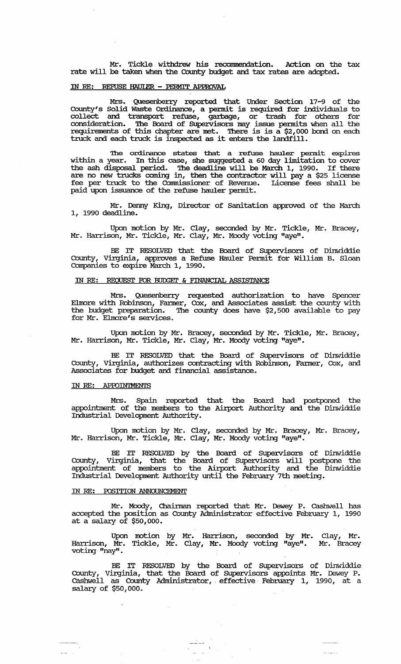Mr. Tickle withdrew his reconunendation. Action on the tax rate will be taken when the County budget and tax rates are adopted.

# IN RE: REFUSE HAUlER - PERMIT APPROVAL

Mrs. Quesenberry reported that Under Section 17-9 of the County's Solid Waste Ordinance, a permit is required for individuals to collect and transport refuse, garbage, or trash for others for consideration. '!he Board of SUpervisors may issue permits when all the requirements of this chapter are met. There is is a \$2,000 bond on each truck and each truck is inspected as it enters the landfill.

The ordinance states that a refuse hauler permit expires within a year. In this case, she suggested a 60 day limitation to cover the ash disposal period. '!he deadline will be March 1, 1990. If there are no new trucks coming in, then the contractor will pay a \$25 license fee per truck to the Commissioner of Revenue. License fees shall be paid upon issuance of the refuse hauler permit.

Mr. Denny King, Director of sanitation approved of the March 1, 1990 deadline.

Upon motion by Mr. Clay, seconded by Mr. Tickle, Mr. Bracey, Mr. Harrison, Mr. Tickle, Mr. Clay, Mr. Moody voting "aye".

BE IT RESOLVED that the Board of SUpervisors of Dinwiddie County, Virginia, approves a Refuse Hauler Pennit for William B. Sloan Companies to expire March 1, 1990.

### IN RE: REQUEST FOR BUDGET & FINANCIAL ASSISTANCE

Mrs. Quesenberry requested authorization to have Spencer Elmore with Robinson, Fanner, Cox, and Associates assist the county with the budget preparation. The county does have \$2,500 available to pay for Mr. Elmore's services.

Upon motion by Mr. Bracey, seconded by Mr. Tickle, Mr. Bracey, Mr. Harrison, Mr. Tickle, Mr. Clay, Mr. Moody voting "aye".

BE IT RESOLVED that the Board of SUpervisors of Dinwiddie County, Virginia, authorizes contracting with Robinson, Fanner, Cox, and Associates for budget and financial assistance.

# IN RE: APPOIN'IMENTS

Mrs. Spain reported that the Board had postponed the appointment of the members to the Airport Authority and the Dinwiddie Industrial Development Authority.

Upon motion by Mr. Clay, seconded by Mr. Bracey, Mr. Bracey, Mr. Harrison, Mr. Tickle, Mr. Clay, Mr. Moody voting "aye".

BE IT RESOLVED by the Board of SUpervisors of Dinwiddie County, Virginia, that the Board of SUpervisors will postpone the appointment of members to the Airport Authority and the Dinwiddie Industrial Development Authority until the February 7th meeting.

### IN *RE:* POSITION ANNOUNCEMENT

الأستف

Mr. Moody, Chainnan reported that Mr. Dewey P. cashwell has accepted the position as County Administrator effective February 1, 1990 at a salary of \$50,000.

Upon motion by Mr. Harrison, seconded by Mr. Harrison, Mr. Tickle, Mr. Clay, Mr. Moody voting "aye". voting "nay". Clay, Mr. Mr. Bracey

BE IT RESOLVED by the Board of SUpervisors of Dinwiddie County, Virginia, that the Board of SUpervisors appoints Mr. Dewey P. cashwell as County Administrator, effective February 1, 1990, at a salary of \$50,000.

 $\sim$ 

 $\overline{1}$  ,  $\overline{1}$  ,  $\overline{1}$ 

 $\begin{tabular}{|c|c|c|} \hline \quad \quad & \quad \quad & \quad \quad \\ \hline \quad \quad & \quad \quad & \quad \quad \\ \hline \quad \quad & \quad \quad & \quad \quad \\ \hline \quad \quad & \quad \quad & \quad \quad \\ \hline \quad \quad & \quad \quad & \quad \quad \\ \hline \quad \quad & \quad \quad & \quad \quad \\ \hline \end{tabular}$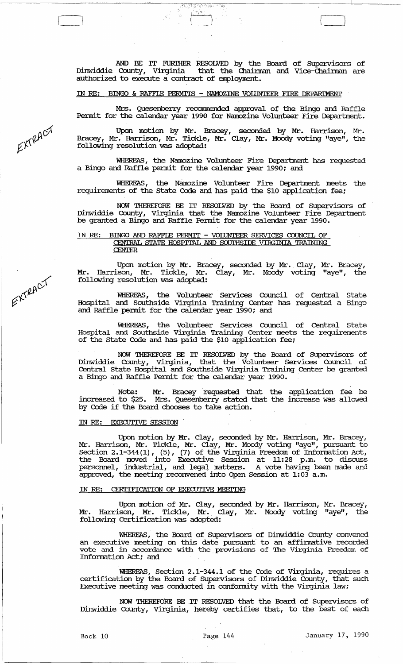AND BE IT FURIHER RESOLVED by the Board of SUpervisors of Dinwiddie County, Virginia that the Chainnan and vice-chainnan are Dinwiddie County, Virginia that the Chairm<br>authorized to execute a contract of employment.

e dji

IN RE: BINGO & RAFFIE PERMITS - NAIDZINE VOIDNTEER FIRE DEPARIMENT

 $\begin{bmatrix} 1 & 1 & 1 \\ 1 & 1 & 1 \\ 1 & 1 & 1 \end{bmatrix}$ 

Mrs. Quesenberry reconnnended approval of the Bingo and Raffle Permit for the calendar year 1990 for Namozine Volunteer Fire Department.

Upon motion by Mr. Bracey, seconded by Mr. Harrison, Mr. Bracey, Mr. Harrison, Mr. Tickle, Mr. Clay, Mr. Moody voting "aye", the following resolution was adopted:

WHEREAS, the Namozine Volunteer Fire Department has requested a Bingo and Raffle pennit for the calendar year 1990; and

WHEREAS, the Namozine Volunteer Fire Department meets the requirements of the state Code and has paid the \$10 application fee;

NOW 'lHEREFORE BE IT RESOLVED by the Board of SUpervisors of Dinwiddie County, Virginia that the Namozine Volunteer Fire Department be granted a Bingo and Raffle Pennit for the calendar year 1990.

#### IN RE: BINGO AND RAFFIE PERMIT - VOIDNTEER SERVICES CDUNCIL OF CENTRAL STATE HOSPITAL AND SOUTHSIDE VIRGINIA TRAINING **CENTER**

Upon motion by Mr. Bracey, seconded by Mr. Clay, Mr. Bracey, Mr. Harrison, Mr. Tickle, Mr. Clay, Mr. Moody voting "aye", the following resolution was adopted:

WHEREAS, the Volunteer services Council of Central state Hospital and Southside Virginia Training Center has requested a Bingo and Raffle pennit for the calendar year 1990; and

WHEREAS, the Volunteer services Council of Central State Hospital and Southside Virginia Training Center meets the requirements of the state Code and has paid the \$10 application fee;

NOW 'lHEREFORE BE IT RESOLVED by the Board of SUpervisors of Dinwiddie County, Virginia, that the Volunteer services Council of Central state Hospital and southside Virginia Training Center be granted a Bingo and Raffle Permit for the calendar year 1990.

Note: Mr. Bracey requested that the application fee be increased to \$25. Mrs. Quesenberry stated that the increase was allowed by Code if the Board chooses to take action.

#### IN RE: EXECUTIVE SESSION

Upon motion by Mr. Clay, seconded by Mr. Harrison, Mr. Bracey, Mr. Harrison, Mr. Tickle, Mr. Clay, Mr. Moody voting "aye", pursuant to Section 2.1-344(1), (5), (7) of the Virginia Freedom of Information Act, the Board moved into Executive session at 11:28 p.m. to discuss personnel, industrial, and legal matters. A vote having been made and approved, the meeting reconvened into Open Session at 1:03 a.m.

### IN RE: CERTIFICATION OF EXECUTIVE MEETING

Upon motion of Mr. Clay, seconded by Mr. Harrison, Mr. Bracey, Mr. Harrison, Mr. Tickle, Mr •. Clay, Mr. Moody voting "aye", the following Certification was adopted:

WHEREAS, the Board of SUpervisors of Dinwiddie County convened an executive meeting on this date pursuant to an affirmative recorded vote and in accordance with the provisions of The Virginia Freedom of Information Act; and

WHEREAS, Section 2.1-344.1 of the Code of Virginia, requires a certification by the Board of SUpervisors of Dinwiddie County, that such Executive meeting was conducted in confonnity with the Virginia law;

NOW 'lHEREFORE BE .IT RESOLVED that the Board of SUpervisors of Dinwiddie County, Virginia, hereby certifies that, to the best of each

EXTRACT

EXTRACT